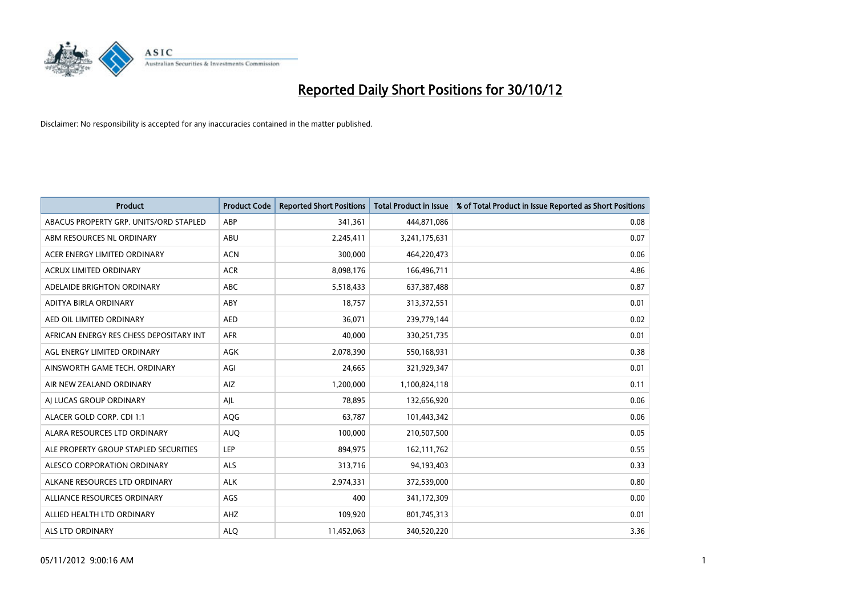

| <b>Product</b>                          | <b>Product Code</b> | <b>Reported Short Positions</b> | <b>Total Product in Issue</b> | % of Total Product in Issue Reported as Short Positions |
|-----------------------------------------|---------------------|---------------------------------|-------------------------------|---------------------------------------------------------|
| ABACUS PROPERTY GRP. UNITS/ORD STAPLED  | ABP                 | 341,361                         | 444,871,086                   | 0.08                                                    |
| ABM RESOURCES NL ORDINARY               | ABU                 | 2,245,411                       | 3,241,175,631                 | 0.07                                                    |
| ACER ENERGY LIMITED ORDINARY            | <b>ACN</b>          | 300,000                         | 464,220,473                   | 0.06                                                    |
| ACRUX LIMITED ORDINARY                  | <b>ACR</b>          | 8,098,176                       | 166,496,711                   | 4.86                                                    |
| ADELAIDE BRIGHTON ORDINARY              | <b>ABC</b>          | 5,518,433                       | 637, 387, 488                 | 0.87                                                    |
| ADITYA BIRLA ORDINARY                   | ABY                 | 18,757                          | 313,372,551                   | 0.01                                                    |
| AED OIL LIMITED ORDINARY                | <b>AED</b>          | 36.071                          | 239,779,144                   | 0.02                                                    |
| AFRICAN ENERGY RES CHESS DEPOSITARY INT | <b>AFR</b>          | 40,000                          | 330,251,735                   | 0.01                                                    |
| AGL ENERGY LIMITED ORDINARY             | <b>AGK</b>          | 2,078,390                       | 550,168,931                   | 0.38                                                    |
| AINSWORTH GAME TECH. ORDINARY           | AGI                 | 24.665                          | 321,929,347                   | 0.01                                                    |
| AIR NEW ZEALAND ORDINARY                | AIZ                 | 1,200,000                       | 1,100,824,118                 | 0.11                                                    |
| AI LUCAS GROUP ORDINARY                 | AJL                 | 78,895                          | 132,656,920                   | 0.06                                                    |
| ALACER GOLD CORP. CDI 1:1               | AQG                 | 63.787                          | 101,443,342                   | 0.06                                                    |
| ALARA RESOURCES LTD ORDINARY            | <b>AUQ</b>          | 100,000                         | 210,507,500                   | 0.05                                                    |
| ALE PROPERTY GROUP STAPLED SECURITIES   | LEP                 | 894,975                         | 162,111,762                   | 0.55                                                    |
| ALESCO CORPORATION ORDINARY             | <b>ALS</b>          | 313,716                         | 94,193,403                    | 0.33                                                    |
| ALKANE RESOURCES LTD ORDINARY           | <b>ALK</b>          | 2,974,331                       | 372,539,000                   | 0.80                                                    |
| ALLIANCE RESOURCES ORDINARY             | AGS                 | 400                             | 341,172,309                   | 0.00                                                    |
| ALLIED HEALTH LTD ORDINARY              | AHZ                 | 109,920                         | 801,745,313                   | 0.01                                                    |
| ALS LTD ORDINARY                        | <b>ALO</b>          | 11,452,063                      | 340.520.220                   | 3.36                                                    |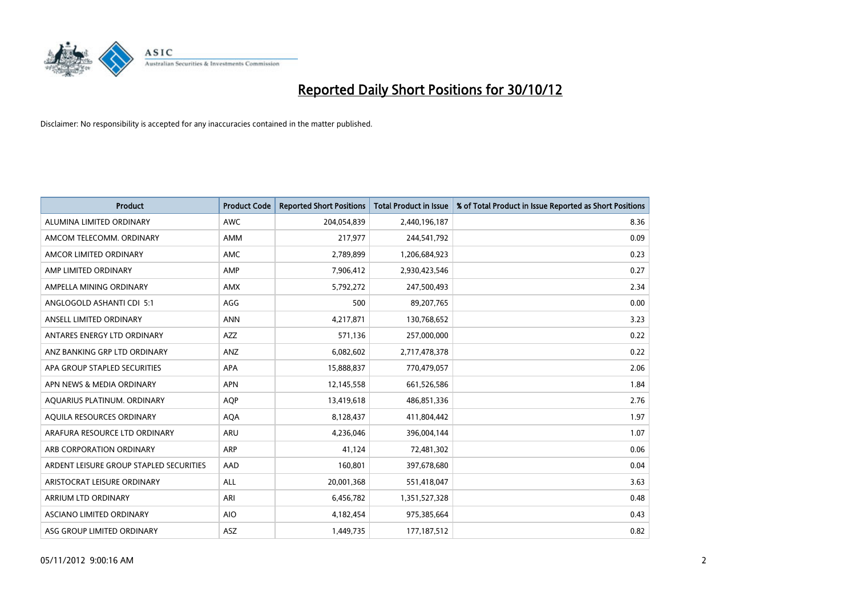

| <b>Product</b>                          | <b>Product Code</b> | <b>Reported Short Positions</b> | <b>Total Product in Issue</b> | % of Total Product in Issue Reported as Short Positions |
|-----------------------------------------|---------------------|---------------------------------|-------------------------------|---------------------------------------------------------|
| ALUMINA LIMITED ORDINARY                | <b>AWC</b>          | 204,054,839                     | 2,440,196,187                 | 8.36                                                    |
| AMCOM TELECOMM. ORDINARY                | <b>AMM</b>          | 217,977                         | 244,541,792                   | 0.09                                                    |
| AMCOR LIMITED ORDINARY                  | <b>AMC</b>          | 2,789,899                       | 1,206,684,923                 | 0.23                                                    |
| AMP LIMITED ORDINARY                    | AMP                 | 7,906,412                       | 2,930,423,546                 | 0.27                                                    |
| AMPELLA MINING ORDINARY                 | <b>AMX</b>          | 5,792,272                       | 247,500,493                   | 2.34                                                    |
| ANGLOGOLD ASHANTI CDI 5:1               | AGG                 | 500                             | 89,207,765                    | 0.00                                                    |
| ANSELL LIMITED ORDINARY                 | <b>ANN</b>          | 4,217,871                       | 130,768,652                   | 3.23                                                    |
| ANTARES ENERGY LTD ORDINARY             | <b>AZZ</b>          | 571,136                         | 257,000,000                   | 0.22                                                    |
| ANZ BANKING GRP LTD ORDINARY            | ANZ                 | 6,082,602                       | 2,717,478,378                 | 0.22                                                    |
| APA GROUP STAPLED SECURITIES            | <b>APA</b>          | 15,888,837                      | 770,479,057                   | 2.06                                                    |
| APN NEWS & MEDIA ORDINARY               | <b>APN</b>          | 12,145,558                      | 661,526,586                   | 1.84                                                    |
| AQUARIUS PLATINUM. ORDINARY             | <b>AOP</b>          | 13,419,618                      | 486,851,336                   | 2.76                                                    |
| AQUILA RESOURCES ORDINARY               | <b>AQA</b>          | 8,128,437                       | 411,804,442                   | 1.97                                                    |
| ARAFURA RESOURCE LTD ORDINARY           | ARU                 | 4,236,046                       | 396,004,144                   | 1.07                                                    |
| ARB CORPORATION ORDINARY                | <b>ARP</b>          | 41.124                          | 72,481,302                    | 0.06                                                    |
| ARDENT LEISURE GROUP STAPLED SECURITIES | AAD                 | 160,801                         | 397,678,680                   | 0.04                                                    |
| ARISTOCRAT LEISURE ORDINARY             | <b>ALL</b>          | 20,001,368                      | 551,418,047                   | 3.63                                                    |
| ARRIUM LTD ORDINARY                     | ARI                 | 6,456,782                       | 1,351,527,328                 | 0.48                                                    |
| <b>ASCIANO LIMITED ORDINARY</b>         | <b>AIO</b>          | 4,182,454                       | 975,385,664                   | 0.43                                                    |
| ASG GROUP LIMITED ORDINARY              | <b>ASZ</b>          | 1,449,735                       | 177, 187, 512                 | 0.82                                                    |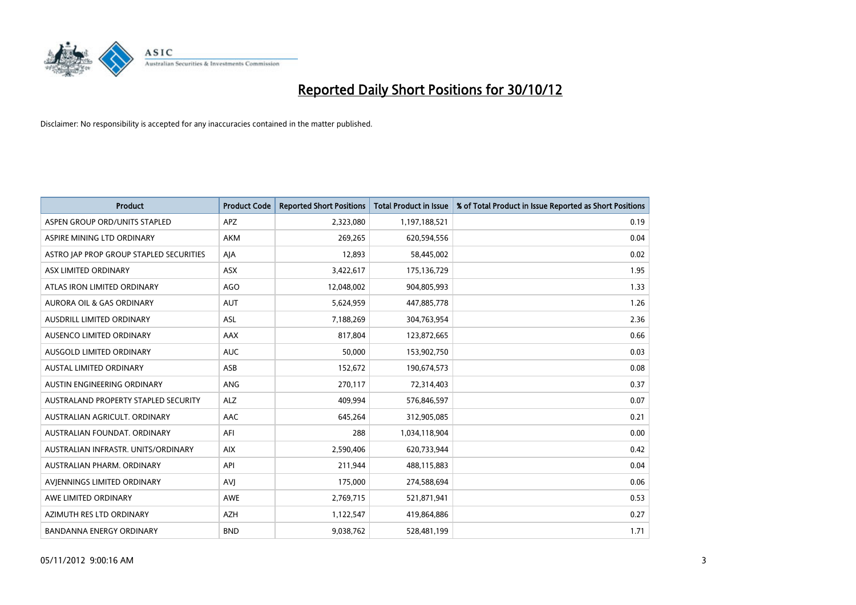

| <b>Product</b>                          | <b>Product Code</b> | <b>Reported Short Positions</b> | <b>Total Product in Issue</b> | % of Total Product in Issue Reported as Short Positions |
|-----------------------------------------|---------------------|---------------------------------|-------------------------------|---------------------------------------------------------|
| ASPEN GROUP ORD/UNITS STAPLED           | <b>APZ</b>          | 2,323,080                       | 1,197,188,521                 | 0.19                                                    |
| ASPIRE MINING LTD ORDINARY              | <b>AKM</b>          | 269,265                         | 620,594,556                   | 0.04                                                    |
| ASTRO JAP PROP GROUP STAPLED SECURITIES | AJA                 | 12,893                          | 58,445,002                    | 0.02                                                    |
| ASX LIMITED ORDINARY                    | ASX                 | 3,422,617                       | 175,136,729                   | 1.95                                                    |
| ATLAS IRON LIMITED ORDINARY             | <b>AGO</b>          | 12,048,002                      | 904,805,993                   | 1.33                                                    |
| AURORA OIL & GAS ORDINARY               | <b>AUT</b>          | 5,624,959                       | 447,885,778                   | 1.26                                                    |
| AUSDRILL LIMITED ORDINARY               | <b>ASL</b>          | 7,188,269                       | 304,763,954                   | 2.36                                                    |
| <b>AUSENCO LIMITED ORDINARY</b>         | AAX                 | 817,804                         | 123,872,665                   | 0.66                                                    |
| AUSGOLD LIMITED ORDINARY                | <b>AUC</b>          | 50,000                          | 153,902,750                   | 0.03                                                    |
| <b>AUSTAL LIMITED ORDINARY</b>          | ASB                 | 152,672                         | 190,674,573                   | 0.08                                                    |
| AUSTIN ENGINEERING ORDINARY             | <b>ANG</b>          | 270,117                         | 72,314,403                    | 0.37                                                    |
| AUSTRALAND PROPERTY STAPLED SECURITY    | <b>ALZ</b>          | 409.994                         | 576,846,597                   | 0.07                                                    |
| AUSTRALIAN AGRICULT. ORDINARY           | AAC                 | 645,264                         | 312,905,085                   | 0.21                                                    |
| AUSTRALIAN FOUNDAT, ORDINARY            | AFI                 | 288                             | 1,034,118,904                 | 0.00                                                    |
| AUSTRALIAN INFRASTR, UNITS/ORDINARY     | <b>AIX</b>          | 2,590,406                       | 620,733,944                   | 0.42                                                    |
| AUSTRALIAN PHARM. ORDINARY              | API                 | 211,944                         | 488,115,883                   | 0.04                                                    |
| AVIENNINGS LIMITED ORDINARY             | <b>AVI</b>          | 175,000                         | 274,588,694                   | 0.06                                                    |
| AWE LIMITED ORDINARY                    | AWE                 | 2,769,715                       | 521,871,941                   | 0.53                                                    |
| AZIMUTH RES LTD ORDINARY                | <b>AZH</b>          | 1,122,547                       | 419,864,886                   | 0.27                                                    |
| <b>BANDANNA ENERGY ORDINARY</b>         | <b>BND</b>          | 9,038,762                       | 528,481,199                   | 1.71                                                    |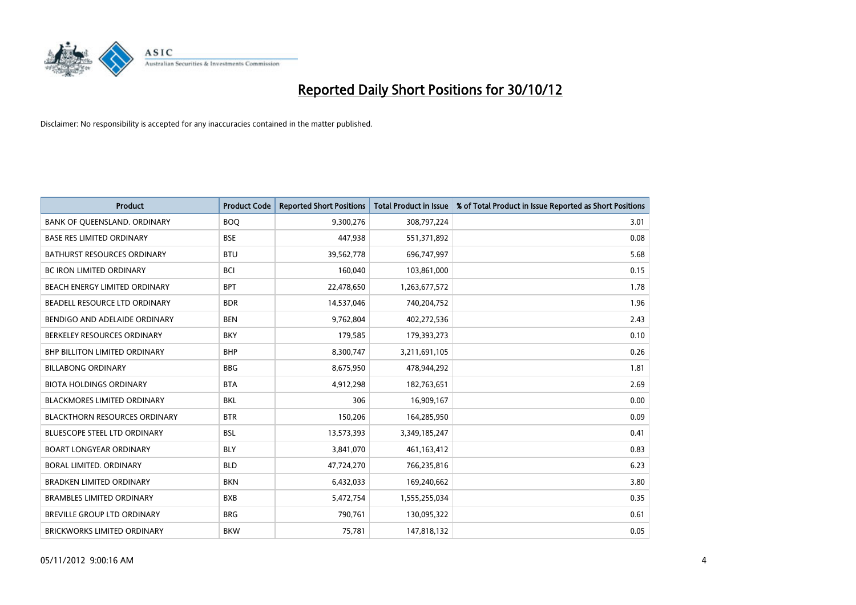

| <b>Product</b>                       | <b>Product Code</b> | <b>Reported Short Positions</b> | <b>Total Product in Issue</b> | % of Total Product in Issue Reported as Short Positions |
|--------------------------------------|---------------------|---------------------------------|-------------------------------|---------------------------------------------------------|
| BANK OF QUEENSLAND. ORDINARY         | <b>BOO</b>          | 9,300,276                       | 308,797,224                   | 3.01                                                    |
| <b>BASE RES LIMITED ORDINARY</b>     | <b>BSE</b>          | 447,938                         | 551,371,892                   | 0.08                                                    |
| <b>BATHURST RESOURCES ORDINARY</b>   | <b>BTU</b>          | 39,562,778                      | 696,747,997                   | 5.68                                                    |
| BC IRON LIMITED ORDINARY             | <b>BCI</b>          | 160,040                         | 103,861,000                   | 0.15                                                    |
| BEACH ENERGY LIMITED ORDINARY        | <b>BPT</b>          | 22,478,650                      | 1,263,677,572                 | 1.78                                                    |
| BEADELL RESOURCE LTD ORDINARY        | <b>BDR</b>          | 14,537,046                      | 740,204,752                   | 1.96                                                    |
| BENDIGO AND ADELAIDE ORDINARY        | <b>BEN</b>          | 9,762,804                       | 402,272,536                   | 2.43                                                    |
| BERKELEY RESOURCES ORDINARY          | <b>BKY</b>          | 179,585                         | 179,393,273                   | 0.10                                                    |
| <b>BHP BILLITON LIMITED ORDINARY</b> | <b>BHP</b>          | 8,300,747                       | 3,211,691,105                 | 0.26                                                    |
| <b>BILLABONG ORDINARY</b>            | <b>BBG</b>          | 8,675,950                       | 478,944,292                   | 1.81                                                    |
| <b>BIOTA HOLDINGS ORDINARY</b>       | <b>BTA</b>          | 4,912,298                       | 182,763,651                   | 2.69                                                    |
| <b>BLACKMORES LIMITED ORDINARY</b>   | <b>BKL</b>          | 306                             | 16,909,167                    | 0.00                                                    |
| <b>BLACKTHORN RESOURCES ORDINARY</b> | <b>BTR</b>          | 150,206                         | 164,285,950                   | 0.09                                                    |
| BLUESCOPE STEEL LTD ORDINARY         | <b>BSL</b>          | 13,573,393                      | 3,349,185,247                 | 0.41                                                    |
| <b>BOART LONGYEAR ORDINARY</b>       | <b>BLY</b>          | 3,841,070                       | 461,163,412                   | 0.83                                                    |
| BORAL LIMITED. ORDINARY              | <b>BLD</b>          | 47,724,270                      | 766,235,816                   | 6.23                                                    |
| <b>BRADKEN LIMITED ORDINARY</b>      | <b>BKN</b>          | 6,432,033                       | 169,240,662                   | 3.80                                                    |
| <b>BRAMBLES LIMITED ORDINARY</b>     | <b>BXB</b>          | 5,472,754                       | 1,555,255,034                 | 0.35                                                    |
| <b>BREVILLE GROUP LTD ORDINARY</b>   | <b>BRG</b>          | 790,761                         | 130,095,322                   | 0.61                                                    |
| BRICKWORKS LIMITED ORDINARY          | <b>BKW</b>          | 75,781                          | 147,818,132                   | 0.05                                                    |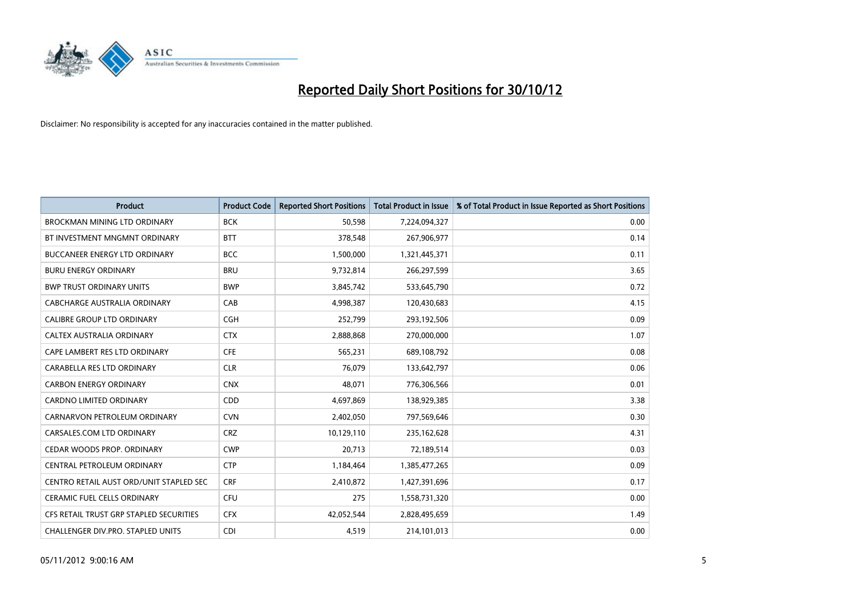

| <b>Product</b>                          | <b>Product Code</b> | <b>Reported Short Positions</b> | <b>Total Product in Issue</b> | % of Total Product in Issue Reported as Short Positions |
|-----------------------------------------|---------------------|---------------------------------|-------------------------------|---------------------------------------------------------|
| <b>BROCKMAN MINING LTD ORDINARY</b>     | <b>BCK</b>          | 50,598                          | 7,224,094,327                 | 0.00                                                    |
| BT INVESTMENT MNGMNT ORDINARY           | <b>BTT</b>          | 378,548                         | 267,906,977                   | 0.14                                                    |
| <b>BUCCANEER ENERGY LTD ORDINARY</b>    | <b>BCC</b>          | 1,500,000                       | 1,321,445,371                 | 0.11                                                    |
| <b>BURU ENERGY ORDINARY</b>             | <b>BRU</b>          | 9,732,814                       | 266,297,599                   | 3.65                                                    |
| <b>BWP TRUST ORDINARY UNITS</b>         | <b>BWP</b>          | 3,845,742                       | 533,645,790                   | 0.72                                                    |
| CABCHARGE AUSTRALIA ORDINARY            | CAB                 | 4,998,387                       | 120,430,683                   | 4.15                                                    |
| <b>CALIBRE GROUP LTD ORDINARY</b>       | <b>CGH</b>          | 252,799                         | 293,192,506                   | 0.09                                                    |
| CALTEX AUSTRALIA ORDINARY               | <b>CTX</b>          | 2,888,868                       | 270,000,000                   | 1.07                                                    |
| CAPE LAMBERT RES LTD ORDINARY           | <b>CFE</b>          | 565,231                         | 689,108,792                   | 0.08                                                    |
| CARABELLA RES LTD ORDINARY              | <b>CLR</b>          | 76,079                          | 133,642,797                   | 0.06                                                    |
| <b>CARBON ENERGY ORDINARY</b>           | <b>CNX</b>          | 48,071                          | 776,306,566                   | 0.01                                                    |
| <b>CARDNO LIMITED ORDINARY</b>          | CDD                 | 4,697,869                       | 138,929,385                   | 3.38                                                    |
| CARNARVON PETROLEUM ORDINARY            | <b>CVN</b>          | 2,402,050                       | 797,569,646                   | 0.30                                                    |
| CARSALES.COM LTD ORDINARY               | <b>CRZ</b>          | 10,129,110                      | 235,162,628                   | 4.31                                                    |
| CEDAR WOODS PROP. ORDINARY              | <b>CWP</b>          | 20,713                          | 72,189,514                    | 0.03                                                    |
| CENTRAL PETROLEUM ORDINARY              | <b>CTP</b>          | 1,184,464                       | 1,385,477,265                 | 0.09                                                    |
| CENTRO RETAIL AUST ORD/UNIT STAPLED SEC | <b>CRF</b>          | 2,410,872                       | 1,427,391,696                 | 0.17                                                    |
| <b>CERAMIC FUEL CELLS ORDINARY</b>      | <b>CFU</b>          | 275                             | 1,558,731,320                 | 0.00                                                    |
| CFS RETAIL TRUST GRP STAPLED SECURITIES | <b>CFX</b>          | 42,052,544                      | 2,828,495,659                 | 1.49                                                    |
| CHALLENGER DIV.PRO. STAPLED UNITS       | CDI                 | 4,519                           | 214,101,013                   | 0.00                                                    |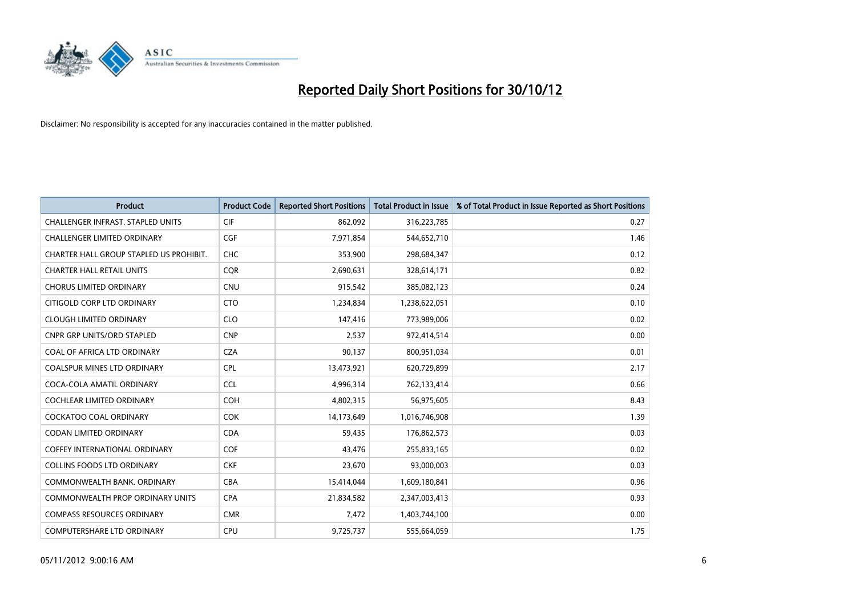

| <b>Product</b>                           | <b>Product Code</b> | <b>Reported Short Positions</b> | <b>Total Product in Issue</b> | % of Total Product in Issue Reported as Short Positions |
|------------------------------------------|---------------------|---------------------------------|-------------------------------|---------------------------------------------------------|
| <b>CHALLENGER INFRAST, STAPLED UNITS</b> | <b>CIF</b>          | 862,092                         | 316,223,785                   | 0.27                                                    |
| CHALLENGER LIMITED ORDINARY              | <b>CGF</b>          | 7,971,854                       | 544,652,710                   | 1.46                                                    |
| CHARTER HALL GROUP STAPLED US PROHIBIT.  | <b>CHC</b>          | 353,900                         | 298,684,347                   | 0.12                                                    |
| <b>CHARTER HALL RETAIL UNITS</b>         | <b>CQR</b>          | 2,690,631                       | 328,614,171                   | 0.82                                                    |
| <b>CHORUS LIMITED ORDINARY</b>           | <b>CNU</b>          | 915,542                         | 385,082,123                   | 0.24                                                    |
| CITIGOLD CORP LTD ORDINARY               | <b>CTO</b>          | 1,234,834                       | 1,238,622,051                 | 0.10                                                    |
| <b>CLOUGH LIMITED ORDINARY</b>           | <b>CLO</b>          | 147,416                         | 773,989,006                   | 0.02                                                    |
| CNPR GRP UNITS/ORD STAPLED               | <b>CNP</b>          | 2,537                           | 972,414,514                   | 0.00                                                    |
| COAL OF AFRICA LTD ORDINARY              | <b>CZA</b>          | 90,137                          | 800,951,034                   | 0.01                                                    |
| <b>COALSPUR MINES LTD ORDINARY</b>       | <b>CPL</b>          | 13,473,921                      | 620,729,899                   | 2.17                                                    |
| COCA-COLA AMATIL ORDINARY                | <b>CCL</b>          | 4,996,314                       | 762,133,414                   | 0.66                                                    |
| <b>COCHLEAR LIMITED ORDINARY</b>         | <b>COH</b>          | 4,802,315                       | 56,975,605                    | 8.43                                                    |
| COCKATOO COAL ORDINARY                   | <b>COK</b>          | 14,173,649                      | 1,016,746,908                 | 1.39                                                    |
| <b>CODAN LIMITED ORDINARY</b>            | <b>CDA</b>          | 59,435                          | 176,862,573                   | 0.03                                                    |
| <b>COFFEY INTERNATIONAL ORDINARY</b>     | <b>COF</b>          | 43.476                          | 255,833,165                   | 0.02                                                    |
| COLLINS FOODS LTD ORDINARY               | <b>CKF</b>          | 23,670                          | 93,000,003                    | 0.03                                                    |
| COMMONWEALTH BANK, ORDINARY              | CBA                 | 15,414,044                      | 1,609,180,841                 | 0.96                                                    |
| COMMONWEALTH PROP ORDINARY UNITS         | <b>CPA</b>          | 21,834,582                      | 2,347,003,413                 | 0.93                                                    |
| <b>COMPASS RESOURCES ORDINARY</b>        | <b>CMR</b>          | 7,472                           | 1,403,744,100                 | 0.00                                                    |
| COMPUTERSHARE LTD ORDINARY               | <b>CPU</b>          | 9,725,737                       | 555,664,059                   | 1.75                                                    |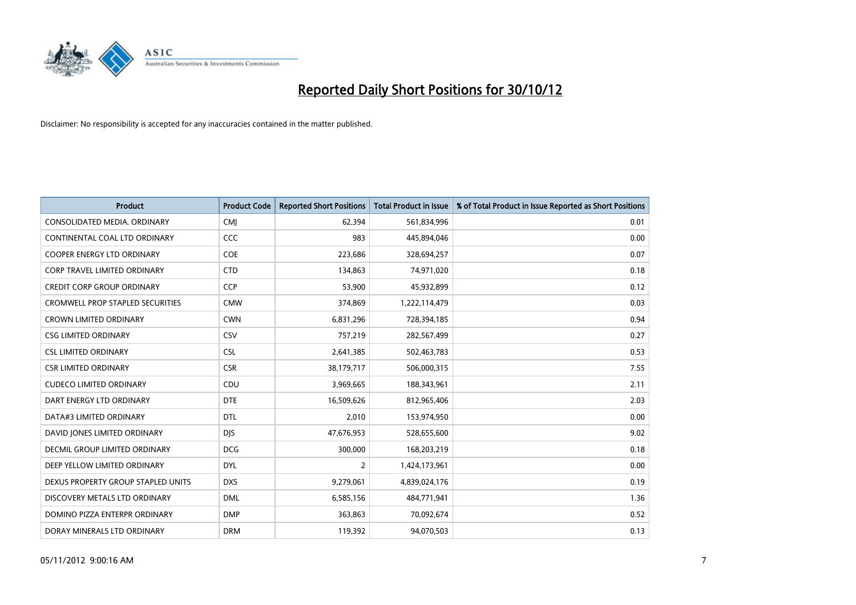

| <b>Product</b>                          | <b>Product Code</b> | <b>Reported Short Positions</b> | <b>Total Product in Issue</b> | % of Total Product in Issue Reported as Short Positions |
|-----------------------------------------|---------------------|---------------------------------|-------------------------------|---------------------------------------------------------|
| CONSOLIDATED MEDIA, ORDINARY            | <b>CMI</b>          | 62,394                          | 561,834,996                   | 0.01                                                    |
| CONTINENTAL COAL LTD ORDINARY           | CCC                 | 983                             | 445,894,046                   | 0.00                                                    |
| COOPER ENERGY LTD ORDINARY              | <b>COE</b>          | 223,686                         | 328,694,257                   | 0.07                                                    |
| <b>CORP TRAVEL LIMITED ORDINARY</b>     | <b>CTD</b>          | 134,863                         | 74,971,020                    | 0.18                                                    |
| <b>CREDIT CORP GROUP ORDINARY</b>       | <b>CCP</b>          | 53,900                          | 45,932,899                    | 0.12                                                    |
| <b>CROMWELL PROP STAPLED SECURITIES</b> | <b>CMW</b>          | 374,869                         | 1,222,114,479                 | 0.03                                                    |
| <b>CROWN LIMITED ORDINARY</b>           | <b>CWN</b>          | 6,831,296                       | 728,394,185                   | 0.94                                                    |
| <b>CSG LIMITED ORDINARY</b>             | CSV                 | 757,219                         | 282,567,499                   | 0.27                                                    |
| <b>CSL LIMITED ORDINARY</b>             | <b>CSL</b>          | 2,641,385                       | 502,463,783                   | 0.53                                                    |
| <b>CSR LIMITED ORDINARY</b>             | <b>CSR</b>          | 38,179,717                      | 506,000,315                   | 7.55                                                    |
| <b>CUDECO LIMITED ORDINARY</b>          | CDU                 | 3,969,665                       | 188,343,961                   | 2.11                                                    |
| DART ENERGY LTD ORDINARY                | <b>DTE</b>          | 16,509,626                      | 812,965,406                   | 2.03                                                    |
| DATA#3 LIMITED ORDINARY                 | <b>DTL</b>          | 2,010                           | 153,974,950                   | 0.00                                                    |
| DAVID JONES LIMITED ORDINARY            | <b>DJS</b>          | 47,676,953                      | 528,655,600                   | 9.02                                                    |
| DECMIL GROUP LIMITED ORDINARY           | <b>DCG</b>          | 300,000                         | 168,203,219                   | 0.18                                                    |
| DEEP YELLOW LIMITED ORDINARY            | <b>DYL</b>          | 2                               | 1,424,173,961                 | 0.00                                                    |
| DEXUS PROPERTY GROUP STAPLED UNITS      | <b>DXS</b>          | 9,279,061                       | 4,839,024,176                 | 0.19                                                    |
| DISCOVERY METALS LTD ORDINARY           | <b>DML</b>          | 6,585,156                       | 484,771,941                   | 1.36                                                    |
| DOMINO PIZZA ENTERPR ORDINARY           | <b>DMP</b>          | 363,863                         | 70,092,674                    | 0.52                                                    |
| DORAY MINERALS LTD ORDINARY             | <b>DRM</b>          | 119,392                         | 94,070,503                    | 0.13                                                    |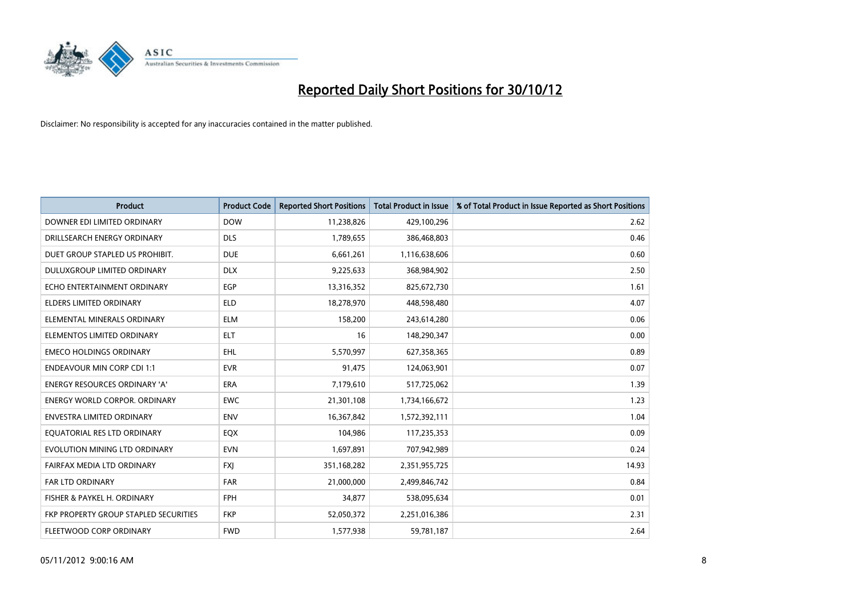

| <b>Product</b>                        | <b>Product Code</b> | <b>Reported Short Positions</b> | <b>Total Product in Issue</b> | % of Total Product in Issue Reported as Short Positions |
|---------------------------------------|---------------------|---------------------------------|-------------------------------|---------------------------------------------------------|
| DOWNER EDI LIMITED ORDINARY           | <b>DOW</b>          | 11,238,826                      | 429,100,296                   | 2.62                                                    |
| DRILLSEARCH ENERGY ORDINARY           | <b>DLS</b>          | 1,789,655                       | 386,468,803                   | 0.46                                                    |
| DUET GROUP STAPLED US PROHIBIT.       | <b>DUE</b>          | 6,661,261                       | 1,116,638,606                 | 0.60                                                    |
| DULUXGROUP LIMITED ORDINARY           | <b>DLX</b>          | 9,225,633                       | 368,984,902                   | 2.50                                                    |
| ECHO ENTERTAINMENT ORDINARY           | <b>EGP</b>          | 13,316,352                      | 825,672,730                   | 1.61                                                    |
| <b>ELDERS LIMITED ORDINARY</b>        | <b>ELD</b>          | 18,278,970                      | 448,598,480                   | 4.07                                                    |
| ELEMENTAL MINERALS ORDINARY           | <b>ELM</b>          | 158,200                         | 243,614,280                   | 0.06                                                    |
| ELEMENTOS LIMITED ORDINARY            | <b>ELT</b>          | 16                              | 148,290,347                   | 0.00                                                    |
| <b>EMECO HOLDINGS ORDINARY</b>        | <b>EHL</b>          | 5,570,997                       | 627,358,365                   | 0.89                                                    |
| <b>ENDEAVOUR MIN CORP CDI 1:1</b>     | <b>EVR</b>          | 91,475                          | 124,063,901                   | 0.07                                                    |
| ENERGY RESOURCES ORDINARY 'A'         | ERA                 | 7,179,610                       | 517,725,062                   | 1.39                                                    |
| <b>ENERGY WORLD CORPOR, ORDINARY</b>  | <b>EWC</b>          | 21,301,108                      | 1,734,166,672                 | 1.23                                                    |
| ENVESTRA LIMITED ORDINARY             | <b>ENV</b>          | 16,367,842                      | 1,572,392,111                 | 1.04                                                    |
| EQUATORIAL RES LTD ORDINARY           | <b>EQX</b>          | 104,986                         | 117,235,353                   | 0.09                                                    |
| EVOLUTION MINING LTD ORDINARY         | <b>EVN</b>          | 1,697,891                       | 707,942,989                   | 0.24                                                    |
| FAIRFAX MEDIA LTD ORDINARY            | <b>FXI</b>          | 351,168,282                     | 2,351,955,725                 | 14.93                                                   |
| FAR LTD ORDINARY                      | <b>FAR</b>          | 21,000,000                      | 2,499,846,742                 | 0.84                                                    |
| FISHER & PAYKEL H. ORDINARY           | <b>FPH</b>          | 34,877                          | 538,095,634                   | 0.01                                                    |
| FKP PROPERTY GROUP STAPLED SECURITIES | <b>FKP</b>          | 52,050,372                      | 2,251,016,386                 | 2.31                                                    |
| FLEETWOOD CORP ORDINARY               | <b>FWD</b>          | 1,577,938                       | 59,781,187                    | 2.64                                                    |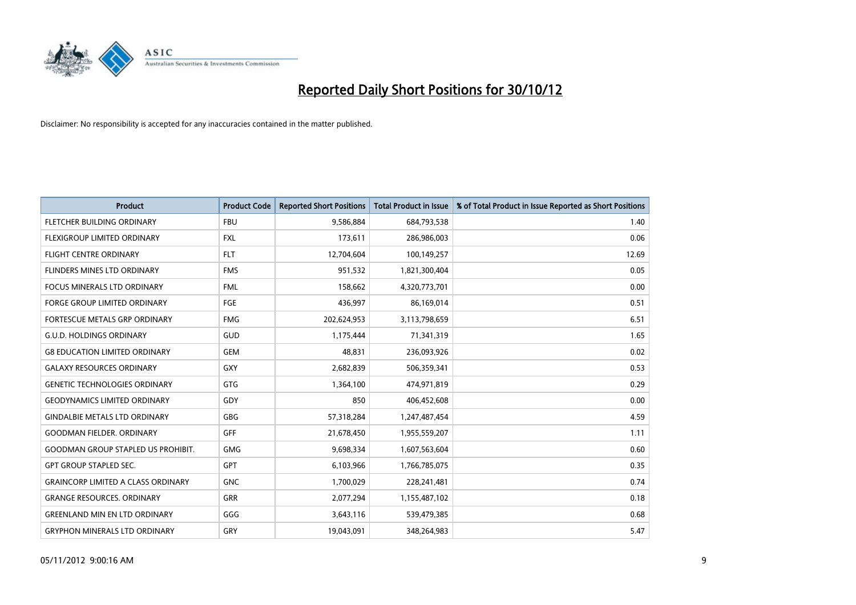

| <b>Product</b>                            | <b>Product Code</b> | <b>Reported Short Positions</b> | <b>Total Product in Issue</b> | % of Total Product in Issue Reported as Short Positions |
|-------------------------------------------|---------------------|---------------------------------|-------------------------------|---------------------------------------------------------|
| FLETCHER BUILDING ORDINARY                | <b>FBU</b>          | 9,586,884                       | 684,793,538                   | 1.40                                                    |
| <b>FLEXIGROUP LIMITED ORDINARY</b>        | <b>FXL</b>          | 173,611                         | 286,986,003                   | 0.06                                                    |
| <b>FLIGHT CENTRE ORDINARY</b>             | <b>FLT</b>          | 12,704,604                      | 100,149,257                   | 12.69                                                   |
| FLINDERS MINES LTD ORDINARY               | <b>FMS</b>          | 951,532                         | 1,821,300,404                 | 0.05                                                    |
| <b>FOCUS MINERALS LTD ORDINARY</b>        | <b>FML</b>          | 158,662                         | 4,320,773,701                 | 0.00                                                    |
| <b>FORGE GROUP LIMITED ORDINARY</b>       | FGE                 | 436,997                         | 86,169,014                    | 0.51                                                    |
| FORTESCUE METALS GRP ORDINARY             | <b>FMG</b>          | 202,624,953                     | 3,113,798,659                 | 6.51                                                    |
| <b>G.U.D. HOLDINGS ORDINARY</b>           | GUD                 | 1,175,444                       | 71,341,319                    | 1.65                                                    |
| <b>G8 EDUCATION LIMITED ORDINARY</b>      | <b>GEM</b>          | 48.831                          | 236,093,926                   | 0.02                                                    |
| <b>GALAXY RESOURCES ORDINARY</b>          | <b>GXY</b>          | 2,682,839                       | 506,359,341                   | 0.53                                                    |
| <b>GENETIC TECHNOLOGIES ORDINARY</b>      | <b>GTG</b>          | 1,364,100                       | 474,971,819                   | 0.29                                                    |
| <b>GEODYNAMICS LIMITED ORDINARY</b>       | GDY                 | 850                             | 406,452,608                   | 0.00                                                    |
| <b>GINDALBIE METALS LTD ORDINARY</b>      | <b>GBG</b>          | 57,318,284                      | 1,247,487,454                 | 4.59                                                    |
| <b>GOODMAN FIELDER, ORDINARY</b>          | <b>GFF</b>          | 21,678,450                      | 1,955,559,207                 | 1.11                                                    |
| <b>GOODMAN GROUP STAPLED US PROHIBIT.</b> | <b>GMG</b>          | 9,698,334                       | 1,607,563,604                 | 0.60                                                    |
| <b>GPT GROUP STAPLED SEC.</b>             | <b>GPT</b>          | 6,103,966                       | 1,766,785,075                 | 0.35                                                    |
| <b>GRAINCORP LIMITED A CLASS ORDINARY</b> | <b>GNC</b>          | 1,700,029                       | 228,241,481                   | 0.74                                                    |
| <b>GRANGE RESOURCES. ORDINARY</b>         | <b>GRR</b>          | 2,077,294                       | 1,155,487,102                 | 0.18                                                    |
| <b>GREENLAND MIN EN LTD ORDINARY</b>      | GGG                 | 3,643,116                       | 539,479,385                   | 0.68                                                    |
| <b>GRYPHON MINERALS LTD ORDINARY</b>      | GRY                 | 19,043,091                      | 348,264,983                   | 5.47                                                    |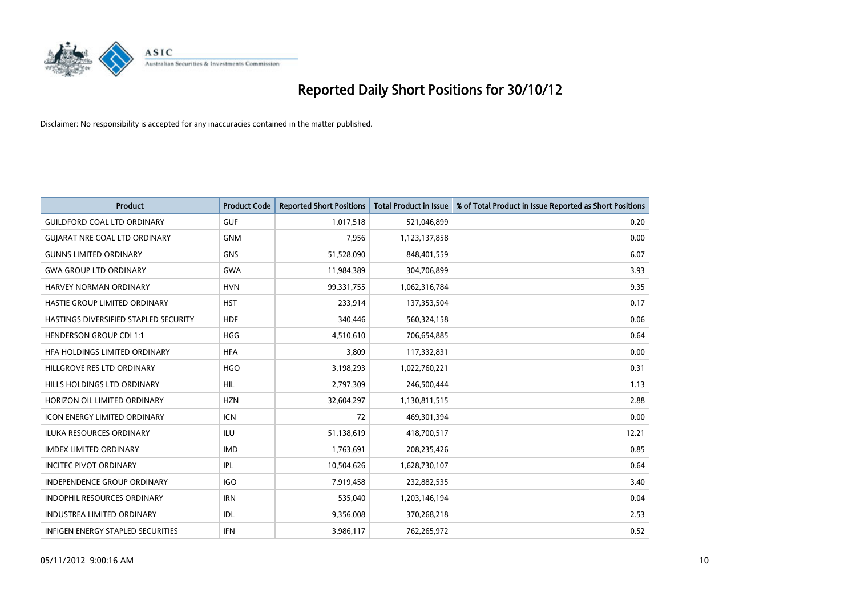

| <b>Product</b>                               | <b>Product Code</b> | <b>Reported Short Positions</b> | <b>Total Product in Issue</b> | % of Total Product in Issue Reported as Short Positions |
|----------------------------------------------|---------------------|---------------------------------|-------------------------------|---------------------------------------------------------|
| <b>GUILDFORD COAL LTD ORDINARY</b>           | <b>GUF</b>          | 1,017,518                       | 521,046,899                   | 0.20                                                    |
| <b>GUIARAT NRE COAL LTD ORDINARY</b>         | <b>GNM</b>          | 7,956                           | 1,123,137,858                 | 0.00                                                    |
| <b>GUNNS LIMITED ORDINARY</b>                | <b>GNS</b>          | 51,528,090                      | 848,401,559                   | 6.07                                                    |
| <b>GWA GROUP LTD ORDINARY</b>                | <b>GWA</b>          | 11,984,389                      | 304,706,899                   | 3.93                                                    |
| HARVEY NORMAN ORDINARY                       | <b>HVN</b>          | 99,331,755                      | 1,062,316,784                 | 9.35                                                    |
| HASTIE GROUP LIMITED ORDINARY                | <b>HST</b>          | 233,914                         | 137,353,504                   | 0.17                                                    |
| <b>HASTINGS DIVERSIFIED STAPLED SECURITY</b> | <b>HDF</b>          | 340,446                         | 560,324,158                   | 0.06                                                    |
| <b>HENDERSON GROUP CDI 1:1</b>               | <b>HGG</b>          | 4,510,610                       | 706,654,885                   | 0.64                                                    |
| HFA HOLDINGS LIMITED ORDINARY                | <b>HFA</b>          | 3,809                           | 117,332,831                   | 0.00                                                    |
| HILLGROVE RES LTD ORDINARY                   | <b>HGO</b>          | 3,198,293                       | 1,022,760,221                 | 0.31                                                    |
| HILLS HOLDINGS LTD ORDINARY                  | <b>HIL</b>          | 2,797,309                       | 246,500,444                   | 1.13                                                    |
| HORIZON OIL LIMITED ORDINARY                 | <b>HZN</b>          | 32,604,297                      | 1,130,811,515                 | 2.88                                                    |
| ICON ENERGY LIMITED ORDINARY                 | <b>ICN</b>          | 72                              | 469,301,394                   | 0.00                                                    |
| <b>ILUKA RESOURCES ORDINARY</b>              | ILU                 | 51,138,619                      | 418,700,517                   | 12.21                                                   |
| <b>IMDEX LIMITED ORDINARY</b>                | <b>IMD</b>          | 1,763,691                       | 208,235,426                   | 0.85                                                    |
| <b>INCITEC PIVOT ORDINARY</b>                | IPL                 | 10,504,626                      | 1,628,730,107                 | 0.64                                                    |
| INDEPENDENCE GROUP ORDINARY                  | <b>IGO</b>          | 7,919,458                       | 232,882,535                   | 3.40                                                    |
| INDOPHIL RESOURCES ORDINARY                  | <b>IRN</b>          | 535,040                         | 1,203,146,194                 | 0.04                                                    |
| <b>INDUSTREA LIMITED ORDINARY</b>            | IDL                 | 9,356,008                       | 370,268,218                   | 2.53                                                    |
| INFIGEN ENERGY STAPLED SECURITIES            | <b>IFN</b>          | 3,986,117                       | 762,265,972                   | 0.52                                                    |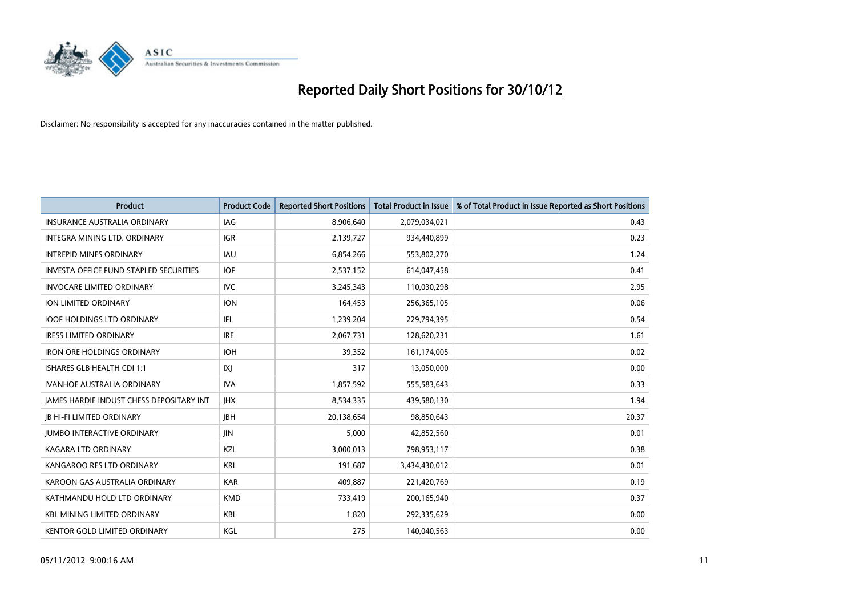

| <b>Product</b>                                  | <b>Product Code</b> | <b>Reported Short Positions</b> | <b>Total Product in Issue</b> | % of Total Product in Issue Reported as Short Positions |
|-------------------------------------------------|---------------------|---------------------------------|-------------------------------|---------------------------------------------------------|
| <b>INSURANCE AUSTRALIA ORDINARY</b>             | IAG                 | 8,906,640                       | 2,079,034,021                 | 0.43                                                    |
| INTEGRA MINING LTD. ORDINARY                    | <b>IGR</b>          | 2,139,727                       | 934,440,899                   | 0.23                                                    |
| <b>INTREPID MINES ORDINARY</b>                  | <b>IAU</b>          | 6,854,266                       | 553,802,270                   | 1.24                                                    |
| <b>INVESTA OFFICE FUND STAPLED SECURITIES</b>   | <b>IOF</b>          | 2,537,152                       | 614,047,458                   | 0.41                                                    |
| <b>INVOCARE LIMITED ORDINARY</b>                | <b>IVC</b>          | 3,245,343                       | 110,030,298                   | 2.95                                                    |
| <b>ION LIMITED ORDINARY</b>                     | <b>ION</b>          | 164,453                         | 256,365,105                   | 0.06                                                    |
| <b>IOOF HOLDINGS LTD ORDINARY</b>               | IFL                 | 1,239,204                       | 229,794,395                   | 0.54                                                    |
| <b>IRESS LIMITED ORDINARY</b>                   | <b>IRE</b>          | 2,067,731                       | 128,620,231                   | 1.61                                                    |
| <b>IRON ORE HOLDINGS ORDINARY</b>               | <b>IOH</b>          | 39,352                          | 161,174,005                   | 0.02                                                    |
| ISHARES GLB HEALTH CDI 1:1                      | X                   | 317                             | 13,050,000                    | 0.00                                                    |
| <b>IVANHOE AUSTRALIA ORDINARY</b>               | <b>IVA</b>          | 1,857,592                       | 555,583,643                   | 0.33                                                    |
| <b>JAMES HARDIE INDUST CHESS DEPOSITARY INT</b> | <b>IHX</b>          | 8,534,335                       | 439,580,130                   | 1.94                                                    |
| <b>IB HI-FI LIMITED ORDINARY</b>                | <b>JBH</b>          | 20,138,654                      | 98,850,643                    | 20.37                                                   |
| <b>JUMBO INTERACTIVE ORDINARY</b>               | <b>JIN</b>          | 5,000                           | 42,852,560                    | 0.01                                                    |
| KAGARA LTD ORDINARY                             | KZL                 | 3,000,013                       | 798,953,117                   | 0.38                                                    |
| KANGAROO RES LTD ORDINARY                       | <b>KRL</b>          | 191,687                         | 3,434,430,012                 | 0.01                                                    |
| KAROON GAS AUSTRALIA ORDINARY                   | <b>KAR</b>          | 409,887                         | 221,420,769                   | 0.19                                                    |
| KATHMANDU HOLD LTD ORDINARY                     | <b>KMD</b>          | 733,419                         | 200,165,940                   | 0.37                                                    |
| <b>KBL MINING LIMITED ORDINARY</b>              | <b>KBL</b>          | 1,820                           | 292,335,629                   | 0.00                                                    |
| KENTOR GOLD LIMITED ORDINARY                    | KGL                 | 275                             | 140,040,563                   | 0.00                                                    |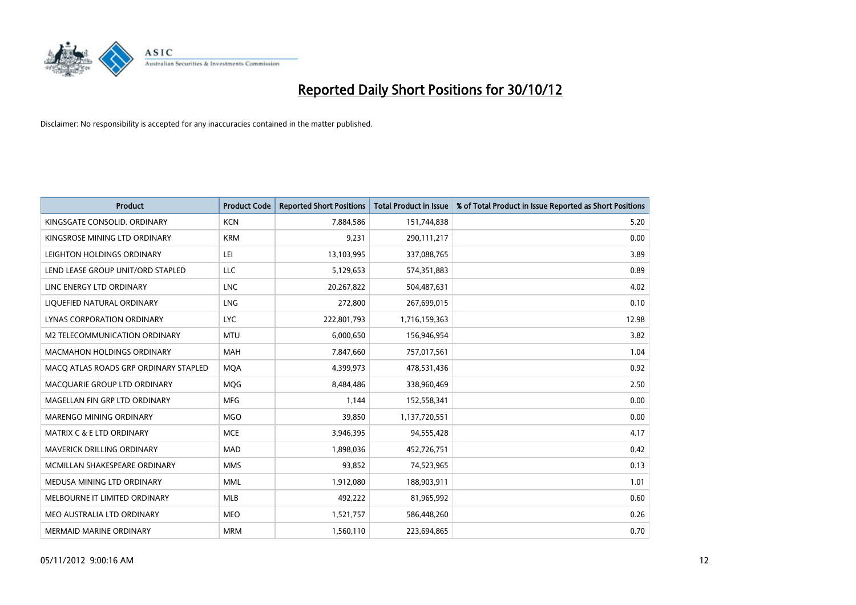

| <b>Product</b>                        | <b>Product Code</b> | <b>Reported Short Positions</b> | <b>Total Product in Issue</b> | % of Total Product in Issue Reported as Short Positions |
|---------------------------------------|---------------------|---------------------------------|-------------------------------|---------------------------------------------------------|
| KINGSGATE CONSOLID. ORDINARY          | <b>KCN</b>          | 7,884,586                       | 151,744,838                   | 5.20                                                    |
| KINGSROSE MINING LTD ORDINARY         | <b>KRM</b>          | 9,231                           | 290,111,217                   | 0.00                                                    |
| LEIGHTON HOLDINGS ORDINARY            | LEI                 | 13,103,995                      | 337,088,765                   | 3.89                                                    |
| LEND LEASE GROUP UNIT/ORD STAPLED     | LLC                 | 5,129,653                       | 574,351,883                   | 0.89                                                    |
| LINC ENERGY LTD ORDINARY              | <b>LNC</b>          | 20,267,822                      | 504,487,631                   | 4.02                                                    |
| LIQUEFIED NATURAL ORDINARY            | LNG                 | 272,800                         | 267,699,015                   | 0.10                                                    |
| LYNAS CORPORATION ORDINARY            | <b>LYC</b>          | 222,801,793                     | 1,716,159,363                 | 12.98                                                   |
| M2 TELECOMMUNICATION ORDINARY         | <b>MTU</b>          | 6,000,650                       | 156,946,954                   | 3.82                                                    |
| <b>MACMAHON HOLDINGS ORDINARY</b>     | <b>MAH</b>          | 7,847,660                       | 757,017,561                   | 1.04                                                    |
| MACO ATLAS ROADS GRP ORDINARY STAPLED | <b>MOA</b>          | 4,399,973                       | 478,531,436                   | 0.92                                                    |
| MACQUARIE GROUP LTD ORDINARY          | MQG                 | 8,484,486                       | 338,960,469                   | 2.50                                                    |
| MAGELLAN FIN GRP LTD ORDINARY         | <b>MFG</b>          | 1,144                           | 152,558,341                   | 0.00                                                    |
| <b>MARENGO MINING ORDINARY</b>        | <b>MGO</b>          | 39,850                          | 1,137,720,551                 | 0.00                                                    |
| <b>MATRIX C &amp; E LTD ORDINARY</b>  | <b>MCE</b>          | 3,946,395                       | 94,555,428                    | 4.17                                                    |
| MAVERICK DRILLING ORDINARY            | <b>MAD</b>          | 1,898,036                       | 452,726,751                   | 0.42                                                    |
| MCMILLAN SHAKESPEARE ORDINARY         | <b>MMS</b>          | 93,852                          | 74,523,965                    | 0.13                                                    |
| MEDUSA MINING LTD ORDINARY            | <b>MML</b>          | 1,912,080                       | 188,903,911                   | 1.01                                                    |
| MELBOURNE IT LIMITED ORDINARY         | <b>MLB</b>          | 492,222                         | 81,965,992                    | 0.60                                                    |
| MEO AUSTRALIA LTD ORDINARY            | <b>MEO</b>          | 1,521,757                       | 586,448,260                   | 0.26                                                    |
| <b>MERMAID MARINE ORDINARY</b>        | <b>MRM</b>          | 1,560,110                       | 223,694,865                   | 0.70                                                    |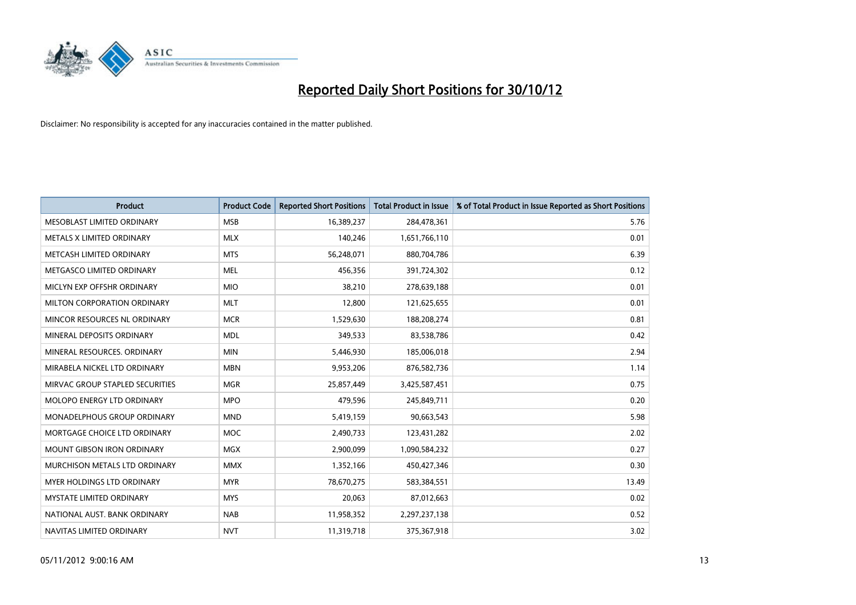

| <b>Product</b>                    | <b>Product Code</b> | <b>Reported Short Positions</b> | <b>Total Product in Issue</b> | % of Total Product in Issue Reported as Short Positions |
|-----------------------------------|---------------------|---------------------------------|-------------------------------|---------------------------------------------------------|
| MESOBLAST LIMITED ORDINARY        | <b>MSB</b>          | 16,389,237                      | 284,478,361                   | 5.76                                                    |
| METALS X LIMITED ORDINARY         | <b>MLX</b>          | 140,246                         | 1,651,766,110                 | 0.01                                                    |
| METCASH LIMITED ORDINARY          | <b>MTS</b>          | 56,248,071                      | 880,704,786                   | 6.39                                                    |
| METGASCO LIMITED ORDINARY         | <b>MEL</b>          | 456,356                         | 391,724,302                   | 0.12                                                    |
| MICLYN EXP OFFSHR ORDINARY        | <b>MIO</b>          | 38,210                          | 278,639,188                   | 0.01                                                    |
| MILTON CORPORATION ORDINARY       | <b>MLT</b>          | 12,800                          | 121,625,655                   | 0.01                                                    |
| MINCOR RESOURCES NL ORDINARY      | <b>MCR</b>          | 1,529,630                       | 188,208,274                   | 0.81                                                    |
| MINERAL DEPOSITS ORDINARY         | <b>MDL</b>          | 349,533                         | 83,538,786                    | 0.42                                                    |
| MINERAL RESOURCES, ORDINARY       | <b>MIN</b>          | 5,446,930                       | 185,006,018                   | 2.94                                                    |
| MIRABELA NICKEL LTD ORDINARY      | <b>MBN</b>          | 9,953,206                       | 876,582,736                   | 1.14                                                    |
| MIRVAC GROUP STAPLED SECURITIES   | <b>MGR</b>          | 25,857,449                      | 3,425,587,451                 | 0.75                                                    |
| MOLOPO ENERGY LTD ORDINARY        | <b>MPO</b>          | 479,596                         | 245,849,711                   | 0.20                                                    |
| MONADELPHOUS GROUP ORDINARY       | <b>MND</b>          | 5,419,159                       | 90,663,543                    | 5.98                                                    |
| MORTGAGE CHOICE LTD ORDINARY      | <b>MOC</b>          | 2,490,733                       | 123,431,282                   | 2.02                                                    |
| <b>MOUNT GIBSON IRON ORDINARY</b> | <b>MGX</b>          | 2,900,099                       | 1,090,584,232                 | 0.27                                                    |
| MURCHISON METALS LTD ORDINARY     | <b>MMX</b>          | 1,352,166                       | 450,427,346                   | 0.30                                                    |
| MYER HOLDINGS LTD ORDINARY        | <b>MYR</b>          | 78,670,275                      | 583,384,551                   | 13.49                                                   |
| MYSTATE LIMITED ORDINARY          | <b>MYS</b>          | 20,063                          | 87,012,663                    | 0.02                                                    |
| NATIONAL AUST, BANK ORDINARY      | <b>NAB</b>          | 11,958,352                      | 2,297,237,138                 | 0.52                                                    |
| NAVITAS LIMITED ORDINARY          | <b>NVT</b>          | 11,319,718                      | 375,367,918                   | 3.02                                                    |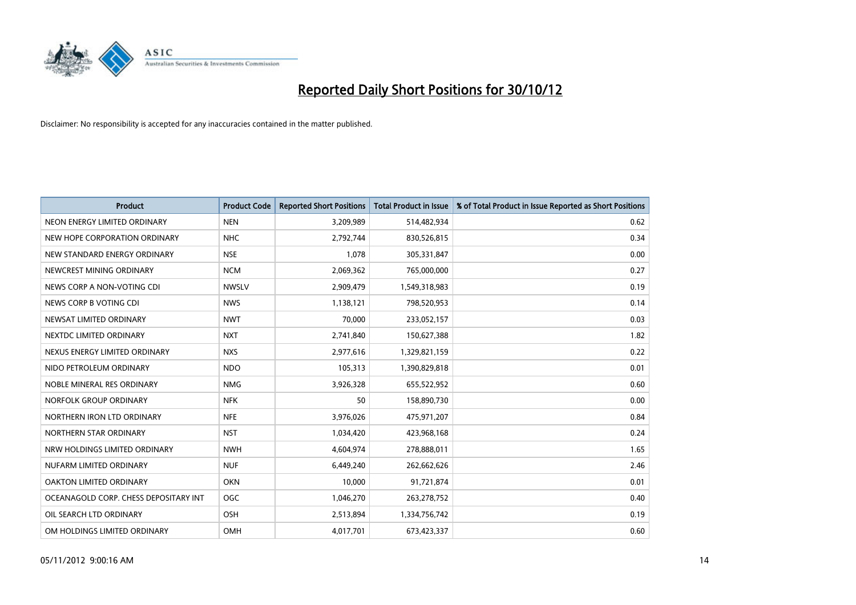

| <b>Product</b>                        | <b>Product Code</b> | <b>Reported Short Positions</b> | <b>Total Product in Issue</b> | % of Total Product in Issue Reported as Short Positions |
|---------------------------------------|---------------------|---------------------------------|-------------------------------|---------------------------------------------------------|
| NEON ENERGY LIMITED ORDINARY          | <b>NEN</b>          | 3,209,989                       | 514,482,934                   | 0.62                                                    |
| NEW HOPE CORPORATION ORDINARY         | <b>NHC</b>          | 2,792,744                       | 830,526,815                   | 0.34                                                    |
| NEW STANDARD ENERGY ORDINARY          | <b>NSE</b>          | 1,078                           | 305,331,847                   | 0.00                                                    |
| NEWCREST MINING ORDINARY              | <b>NCM</b>          | 2,069,362                       | 765,000,000                   | 0.27                                                    |
| NEWS CORP A NON-VOTING CDI            | <b>NWSLV</b>        | 2,909,479                       | 1,549,318,983                 | 0.19                                                    |
| NEWS CORP B VOTING CDI                | <b>NWS</b>          | 1,138,121                       | 798,520,953                   | 0.14                                                    |
| NEWSAT LIMITED ORDINARY               | <b>NWT</b>          | 70.000                          | 233,052,157                   | 0.03                                                    |
| NEXTDC LIMITED ORDINARY               | <b>NXT</b>          | 2,741,840                       | 150,627,388                   | 1.82                                                    |
| NEXUS ENERGY LIMITED ORDINARY         | <b>NXS</b>          | 2,977,616                       | 1,329,821,159                 | 0.22                                                    |
| NIDO PETROLEUM ORDINARY               | <b>NDO</b>          | 105,313                         | 1,390,829,818                 | 0.01                                                    |
| NOBLE MINERAL RES ORDINARY            | <b>NMG</b>          | 3,926,328                       | 655,522,952                   | 0.60                                                    |
| NORFOLK GROUP ORDINARY                | <b>NFK</b>          | 50                              | 158,890,730                   | 0.00                                                    |
| NORTHERN IRON LTD ORDINARY            | <b>NFE</b>          | 3,976,026                       | 475,971,207                   | 0.84                                                    |
| NORTHERN STAR ORDINARY                | <b>NST</b>          | 1,034,420                       | 423,968,168                   | 0.24                                                    |
| NRW HOLDINGS LIMITED ORDINARY         | <b>NWH</b>          | 4,604,974                       | 278,888,011                   | 1.65                                                    |
| NUFARM LIMITED ORDINARY               | <b>NUF</b>          | 6,449,240                       | 262,662,626                   | 2.46                                                    |
| OAKTON LIMITED ORDINARY               | <b>OKN</b>          | 10,000                          | 91,721,874                    | 0.01                                                    |
| OCEANAGOLD CORP. CHESS DEPOSITARY INT | <b>OGC</b>          | 1,046,270                       | 263,278,752                   | 0.40                                                    |
| OIL SEARCH LTD ORDINARY               | OSH                 | 2,513,894                       | 1,334,756,742                 | 0.19                                                    |
| OM HOLDINGS LIMITED ORDINARY          | OMH                 | 4,017,701                       | 673,423,337                   | 0.60                                                    |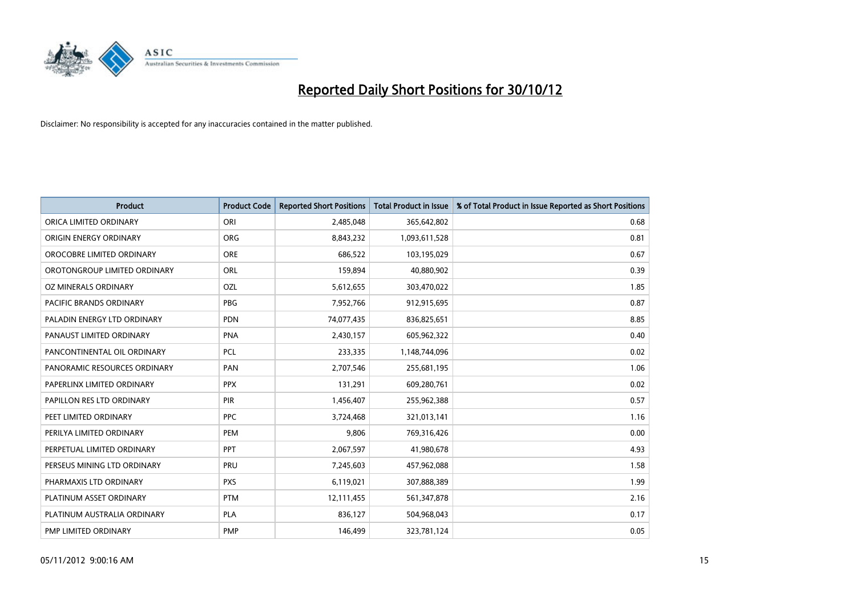

| <b>Product</b>               | <b>Product Code</b> | <b>Reported Short Positions</b> | <b>Total Product in Issue</b> | % of Total Product in Issue Reported as Short Positions |
|------------------------------|---------------------|---------------------------------|-------------------------------|---------------------------------------------------------|
| ORICA LIMITED ORDINARY       | ORI                 | 2,485,048                       | 365,642,802                   | 0.68                                                    |
| ORIGIN ENERGY ORDINARY       | <b>ORG</b>          | 8,843,232                       | 1,093,611,528                 | 0.81                                                    |
| OROCOBRE LIMITED ORDINARY    | <b>ORE</b>          | 686,522                         | 103,195,029                   | 0.67                                                    |
| OROTONGROUP LIMITED ORDINARY | <b>ORL</b>          | 159,894                         | 40,880,902                    | 0.39                                                    |
| OZ MINERALS ORDINARY         | OZL                 | 5,612,655                       | 303,470,022                   | 1.85                                                    |
| PACIFIC BRANDS ORDINARY      | <b>PBG</b>          | 7,952,766                       | 912,915,695                   | 0.87                                                    |
| PALADIN ENERGY LTD ORDINARY  | <b>PDN</b>          | 74,077,435                      | 836,825,651                   | 8.85                                                    |
| PANAUST LIMITED ORDINARY     | <b>PNA</b>          | 2,430,157                       | 605,962,322                   | 0.40                                                    |
| PANCONTINENTAL OIL ORDINARY  | <b>PCL</b>          | 233,335                         | 1,148,744,096                 | 0.02                                                    |
| PANORAMIC RESOURCES ORDINARY | PAN                 | 2,707,546                       | 255,681,195                   | 1.06                                                    |
| PAPERLINX LIMITED ORDINARY   | <b>PPX</b>          | 131,291                         | 609,280,761                   | 0.02                                                    |
| PAPILLON RES LTD ORDINARY    | <b>PIR</b>          | 1,456,407                       | 255,962,388                   | 0.57                                                    |
| PEET LIMITED ORDINARY        | <b>PPC</b>          | 3,724,468                       | 321,013,141                   | 1.16                                                    |
| PERILYA LIMITED ORDINARY     | PEM                 | 9,806                           | 769,316,426                   | 0.00                                                    |
| PERPETUAL LIMITED ORDINARY   | PPT                 | 2,067,597                       | 41,980,678                    | 4.93                                                    |
| PERSEUS MINING LTD ORDINARY  | PRU                 | 7,245,603                       | 457,962,088                   | 1.58                                                    |
| PHARMAXIS LTD ORDINARY       | <b>PXS</b>          | 6,119,021                       | 307,888,389                   | 1.99                                                    |
| PLATINUM ASSET ORDINARY      | <b>PTM</b>          | 12,111,455                      | 561,347,878                   | 2.16                                                    |
| PLATINUM AUSTRALIA ORDINARY  | <b>PLA</b>          | 836,127                         | 504,968,043                   | 0.17                                                    |
| PMP LIMITED ORDINARY         | <b>PMP</b>          | 146,499                         | 323,781,124                   | 0.05                                                    |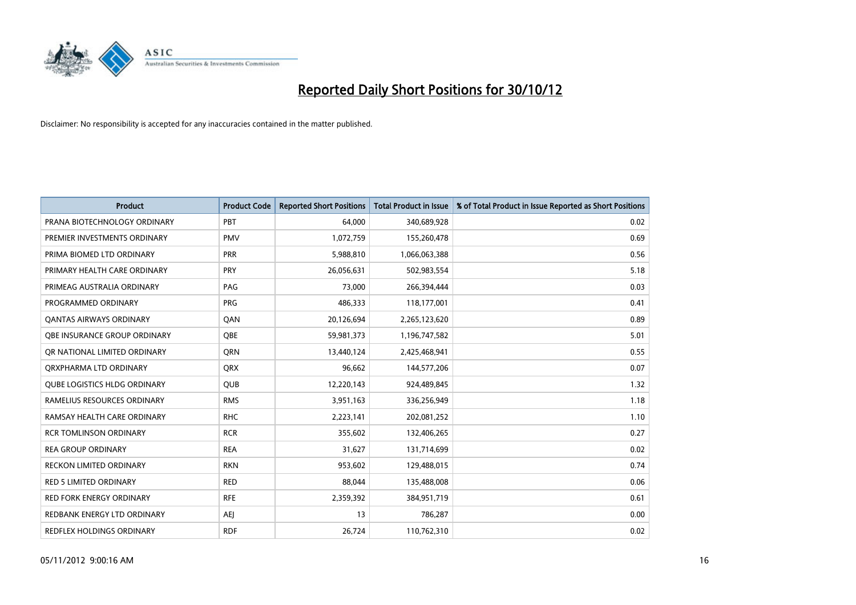

| <b>Product</b>                      | <b>Product Code</b> | <b>Reported Short Positions</b> | <b>Total Product in Issue</b> | % of Total Product in Issue Reported as Short Positions |
|-------------------------------------|---------------------|---------------------------------|-------------------------------|---------------------------------------------------------|
| PRANA BIOTECHNOLOGY ORDINARY        | PBT                 | 64,000                          | 340,689,928                   | 0.02                                                    |
| PREMIER INVESTMENTS ORDINARY        | <b>PMV</b>          | 1,072,759                       | 155,260,478                   | 0.69                                                    |
| PRIMA BIOMED LTD ORDINARY           | <b>PRR</b>          | 5,988,810                       | 1,066,063,388                 | 0.56                                                    |
| PRIMARY HEALTH CARE ORDINARY        | <b>PRY</b>          | 26,056,631                      | 502,983,554                   | 5.18                                                    |
| PRIMEAG AUSTRALIA ORDINARY          | PAG                 | 73,000                          | 266,394,444                   | 0.03                                                    |
| PROGRAMMED ORDINARY                 | <b>PRG</b>          | 486,333                         | 118,177,001                   | 0.41                                                    |
| <b>QANTAS AIRWAYS ORDINARY</b>      | QAN                 | 20,126,694                      | 2,265,123,620                 | 0.89                                                    |
| OBE INSURANCE GROUP ORDINARY        | OBE                 | 59,981,373                      | 1,196,747,582                 | 5.01                                                    |
| OR NATIONAL LIMITED ORDINARY        | <b>ORN</b>          | 13,440,124                      | 2,425,468,941                 | 0.55                                                    |
| ORXPHARMA LTD ORDINARY              | <b>ORX</b>          | 96,662                          | 144,577,206                   | 0.07                                                    |
| <b>QUBE LOGISTICS HLDG ORDINARY</b> | <b>QUB</b>          | 12,220,143                      | 924,489,845                   | 1.32                                                    |
| RAMELIUS RESOURCES ORDINARY         | <b>RMS</b>          | 3,951,163                       | 336,256,949                   | 1.18                                                    |
| RAMSAY HEALTH CARE ORDINARY         | <b>RHC</b>          | 2,223,141                       | 202,081,252                   | 1.10                                                    |
| <b>RCR TOMLINSON ORDINARY</b>       | <b>RCR</b>          | 355,602                         | 132,406,265                   | 0.27                                                    |
| <b>REA GROUP ORDINARY</b>           | <b>REA</b>          | 31,627                          | 131,714,699                   | 0.02                                                    |
| RECKON LIMITED ORDINARY             | <b>RKN</b>          | 953,602                         | 129,488,015                   | 0.74                                                    |
| <b>RED 5 LIMITED ORDINARY</b>       | <b>RED</b>          | 88,044                          | 135,488,008                   | 0.06                                                    |
| <b>RED FORK ENERGY ORDINARY</b>     | <b>RFE</b>          | 2,359,392                       | 384,951,719                   | 0.61                                                    |
| REDBANK ENERGY LTD ORDINARY         | AEI                 | 13                              | 786,287                       | 0.00                                                    |
| REDFLEX HOLDINGS ORDINARY           | <b>RDF</b>          | 26,724                          | 110,762,310                   | 0.02                                                    |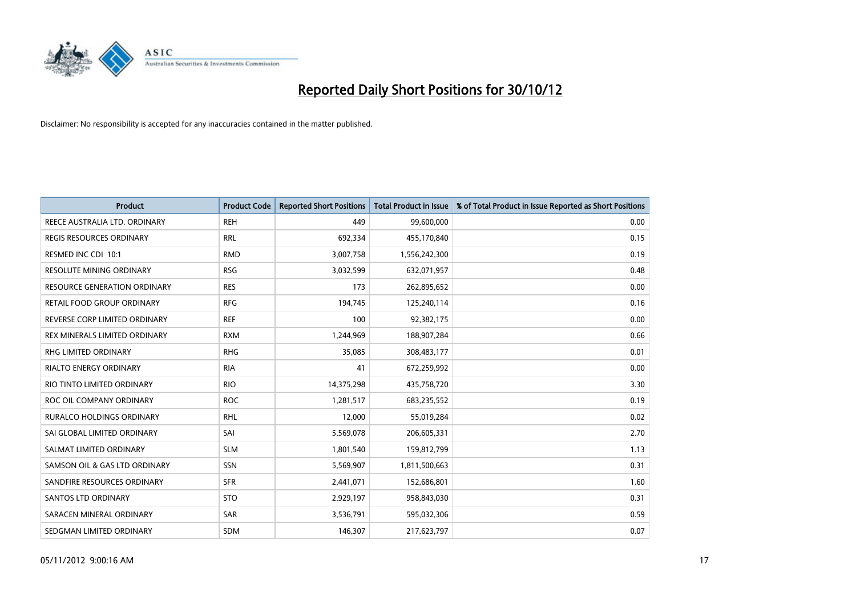

| <b>Product</b>                      | <b>Product Code</b> | <b>Reported Short Positions</b> | <b>Total Product in Issue</b> | % of Total Product in Issue Reported as Short Positions |
|-------------------------------------|---------------------|---------------------------------|-------------------------------|---------------------------------------------------------|
| REECE AUSTRALIA LTD. ORDINARY       | <b>REH</b>          | 449                             | 99,600,000                    | 0.00                                                    |
| REGIS RESOURCES ORDINARY            | <b>RRL</b>          | 692,334                         | 455,170,840                   | 0.15                                                    |
| RESMED INC CDI 10:1                 | <b>RMD</b>          | 3,007,758                       | 1,556,242,300                 | 0.19                                                    |
| RESOLUTE MINING ORDINARY            | <b>RSG</b>          | 3,032,599                       | 632,071,957                   | 0.48                                                    |
| <b>RESOURCE GENERATION ORDINARY</b> | <b>RES</b>          | 173                             | 262,895,652                   | 0.00                                                    |
| RETAIL FOOD GROUP ORDINARY          | <b>RFG</b>          | 194,745                         | 125,240,114                   | 0.16                                                    |
| REVERSE CORP LIMITED ORDINARY       | <b>REF</b>          | 100                             | 92,382,175                    | 0.00                                                    |
| REX MINERALS LIMITED ORDINARY       | <b>RXM</b>          | 1,244,969                       | 188,907,284                   | 0.66                                                    |
| <b>RHG LIMITED ORDINARY</b>         | <b>RHG</b>          | 35,085                          | 308,483,177                   | 0.01                                                    |
| <b>RIALTO ENERGY ORDINARY</b>       | <b>RIA</b>          | 41                              | 672,259,992                   | 0.00                                                    |
| RIO TINTO LIMITED ORDINARY          | <b>RIO</b>          | 14,375,298                      | 435,758,720                   | 3.30                                                    |
| ROC OIL COMPANY ORDINARY            | <b>ROC</b>          | 1,281,517                       | 683,235,552                   | 0.19                                                    |
| RURALCO HOLDINGS ORDINARY           | <b>RHL</b>          | 12,000                          | 55,019,284                    | 0.02                                                    |
| SAI GLOBAL LIMITED ORDINARY         | SAI                 | 5,569,078                       | 206,605,331                   | 2.70                                                    |
| SALMAT LIMITED ORDINARY             | <b>SLM</b>          | 1,801,540                       | 159,812,799                   | 1.13                                                    |
| SAMSON OIL & GAS LTD ORDINARY       | SSN                 | 5,569,907                       | 1,811,500,663                 | 0.31                                                    |
| SANDFIRE RESOURCES ORDINARY         | <b>SFR</b>          | 2,441,071                       | 152,686,801                   | 1.60                                                    |
| <b>SANTOS LTD ORDINARY</b>          | <b>STO</b>          | 2,929,197                       | 958,843,030                   | 0.31                                                    |
| SARACEN MINERAL ORDINARY            | SAR                 | 3,536,791                       | 595,032,306                   | 0.59                                                    |
| SEDGMAN LIMITED ORDINARY            | <b>SDM</b>          | 146,307                         | 217,623,797                   | 0.07                                                    |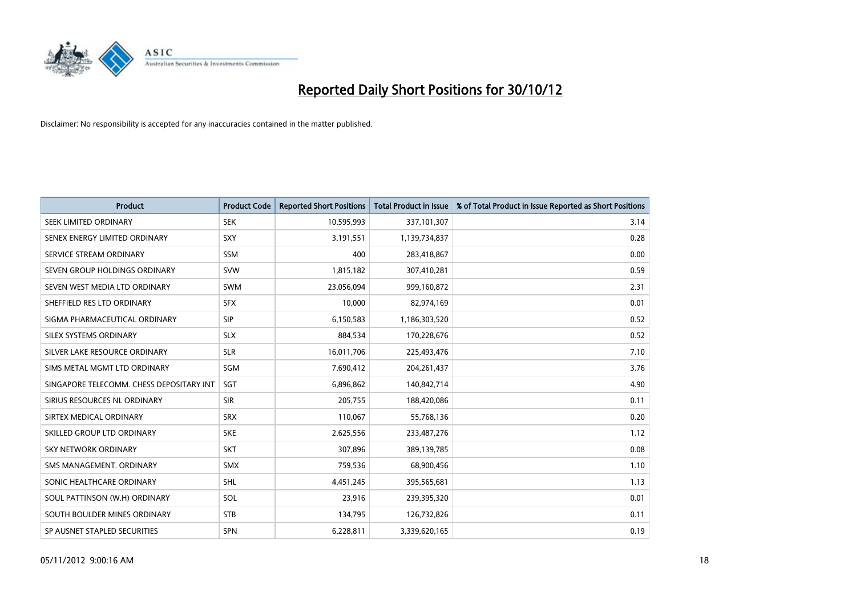

| <b>Product</b>                           | <b>Product Code</b> | <b>Reported Short Positions</b> | <b>Total Product in Issue</b> | % of Total Product in Issue Reported as Short Positions |
|------------------------------------------|---------------------|---------------------------------|-------------------------------|---------------------------------------------------------|
| SEEK LIMITED ORDINARY                    | <b>SEK</b>          | 10,595,993                      | 337,101,307                   | 3.14                                                    |
| SENEX ENERGY LIMITED ORDINARY            | <b>SXY</b>          | 3,191,551                       | 1,139,734,837                 | 0.28                                                    |
| SERVICE STREAM ORDINARY                  | <b>SSM</b>          | 400                             | 283,418,867                   | 0.00                                                    |
| SEVEN GROUP HOLDINGS ORDINARY            | <b>SVW</b>          | 1,815,182                       | 307,410,281                   | 0.59                                                    |
| SEVEN WEST MEDIA LTD ORDINARY            | <b>SWM</b>          | 23,056,094                      | 999,160,872                   | 2.31                                                    |
| SHEFFIELD RES LTD ORDINARY               | <b>SFX</b>          | 10,000                          | 82,974,169                    | 0.01                                                    |
| SIGMA PHARMACEUTICAL ORDINARY            | <b>SIP</b>          | 6,150,583                       | 1,186,303,520                 | 0.52                                                    |
| SILEX SYSTEMS ORDINARY                   | <b>SLX</b>          | 884,534                         | 170,228,676                   | 0.52                                                    |
| SILVER LAKE RESOURCE ORDINARY            | <b>SLR</b>          | 16,011,706                      | 225,493,476                   | 7.10                                                    |
| SIMS METAL MGMT LTD ORDINARY             | SGM                 | 7,690,412                       | 204, 261, 437                 | 3.76                                                    |
| SINGAPORE TELECOMM. CHESS DEPOSITARY INT | <b>SGT</b>          | 6,896,862                       | 140,842,714                   | 4.90                                                    |
| SIRIUS RESOURCES NL ORDINARY             | <b>SIR</b>          | 205,755                         | 188,420,086                   | 0.11                                                    |
| SIRTEX MEDICAL ORDINARY                  | <b>SRX</b>          | 110,067                         | 55,768,136                    | 0.20                                                    |
| SKILLED GROUP LTD ORDINARY               | <b>SKE</b>          | 2,625,556                       | 233,487,276                   | 1.12                                                    |
| <b>SKY NETWORK ORDINARY</b>              | <b>SKT</b>          | 307,896                         | 389,139,785                   | 0.08                                                    |
| SMS MANAGEMENT, ORDINARY                 | <b>SMX</b>          | 759,536                         | 68,900,456                    | 1.10                                                    |
| SONIC HEALTHCARE ORDINARY                | <b>SHL</b>          | 4,451,245                       | 395,565,681                   | 1.13                                                    |
| SOUL PATTINSON (W.H) ORDINARY            | SOL                 | 23,916                          | 239,395,320                   | 0.01                                                    |
| SOUTH BOULDER MINES ORDINARY             | <b>STB</b>          | 134,795                         | 126,732,826                   | 0.11                                                    |
| SP AUSNET STAPLED SECURITIES             | <b>SPN</b>          | 6,228,811                       | 3,339,620,165                 | 0.19                                                    |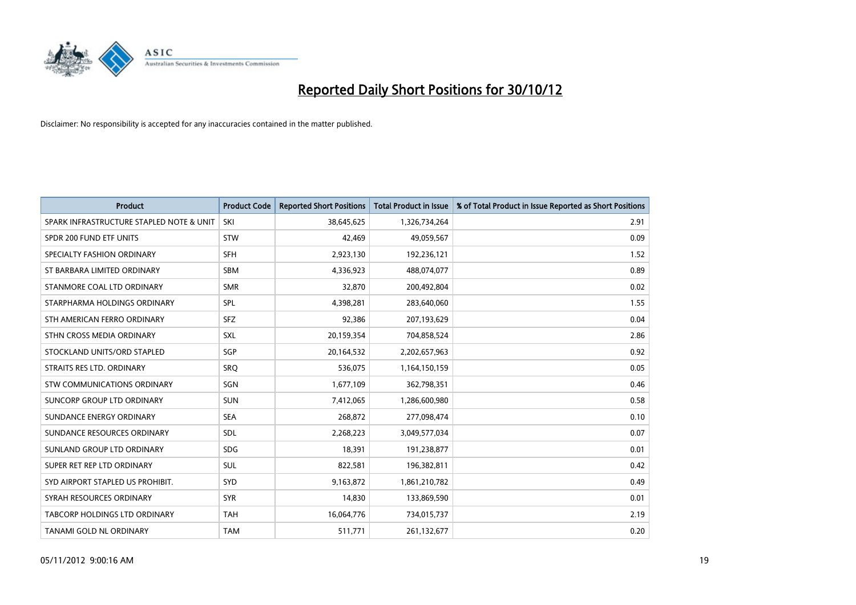

| <b>Product</b>                           | <b>Product Code</b> | <b>Reported Short Positions</b> | <b>Total Product in Issue</b> | % of Total Product in Issue Reported as Short Positions |
|------------------------------------------|---------------------|---------------------------------|-------------------------------|---------------------------------------------------------|
| SPARK INFRASTRUCTURE STAPLED NOTE & UNIT | SKI                 | 38,645,625                      | 1,326,734,264                 | 2.91                                                    |
| SPDR 200 FUND ETF UNITS                  | <b>STW</b>          | 42,469                          | 49,059,567                    | 0.09                                                    |
| SPECIALTY FASHION ORDINARY               | <b>SFH</b>          | 2,923,130                       | 192,236,121                   | 1.52                                                    |
| ST BARBARA LIMITED ORDINARY              | <b>SBM</b>          | 4,336,923                       | 488,074,077                   | 0.89                                                    |
| STANMORE COAL LTD ORDINARY               | <b>SMR</b>          | 32,870                          | 200,492,804                   | 0.02                                                    |
| STARPHARMA HOLDINGS ORDINARY             | SPL                 | 4,398,281                       | 283,640,060                   | 1.55                                                    |
| STH AMERICAN FERRO ORDINARY              | <b>SFZ</b>          | 92,386                          | 207,193,629                   | 0.04                                                    |
| STHN CROSS MEDIA ORDINARY                | SXL                 | 20,159,354                      | 704,858,524                   | 2.86                                                    |
| STOCKLAND UNITS/ORD STAPLED              | SGP                 | 20,164,532                      | 2,202,657,963                 | 0.92                                                    |
| STRAITS RES LTD. ORDINARY                | SRO                 | 536,075                         | 1,164,150,159                 | 0.05                                                    |
| STW COMMUNICATIONS ORDINARY              | SGN                 | 1,677,109                       | 362,798,351                   | 0.46                                                    |
| SUNCORP GROUP LTD ORDINARY               | <b>SUN</b>          | 7,412,065                       | 1,286,600,980                 | 0.58                                                    |
| SUNDANCE ENERGY ORDINARY                 | <b>SEA</b>          | 268,872                         | 277,098,474                   | 0.10                                                    |
| SUNDANCE RESOURCES ORDINARY              | <b>SDL</b>          | 2,268,223                       | 3,049,577,034                 | 0.07                                                    |
| SUNLAND GROUP LTD ORDINARY               | <b>SDG</b>          | 18,391                          | 191,238,877                   | 0.01                                                    |
| SUPER RET REP LTD ORDINARY               | <b>SUL</b>          | 822,581                         | 196,382,811                   | 0.42                                                    |
| SYD AIRPORT STAPLED US PROHIBIT.         | SYD                 | 9,163,872                       | 1,861,210,782                 | 0.49                                                    |
| SYRAH RESOURCES ORDINARY                 | <b>SYR</b>          | 14,830                          | 133,869,590                   | 0.01                                                    |
| TABCORP HOLDINGS LTD ORDINARY            | <b>TAH</b>          | 16,064,776                      | 734,015,737                   | 2.19                                                    |
| TANAMI GOLD NL ORDINARY                  | <b>TAM</b>          | 511,771                         | 261,132,677                   | 0.20                                                    |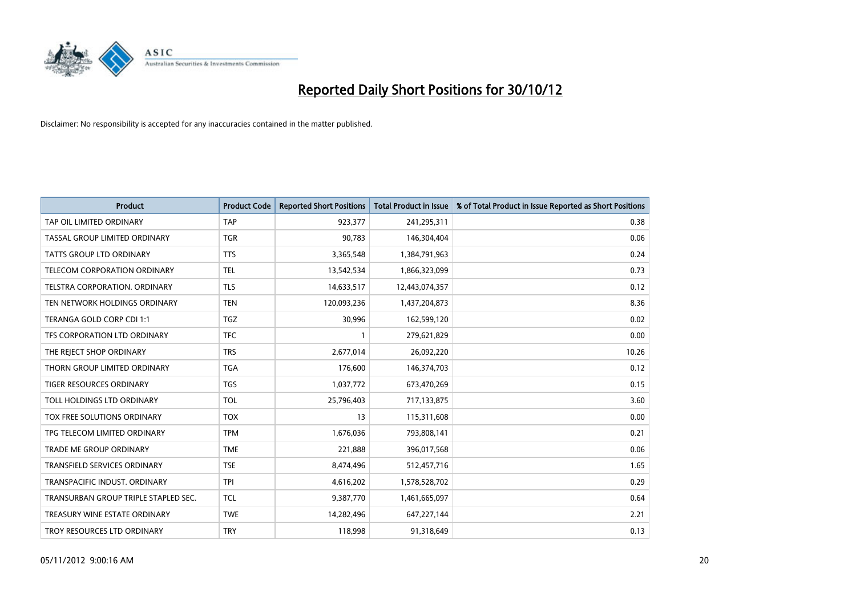

| <b>Product</b>                       | <b>Product Code</b> | <b>Reported Short Positions</b> | <b>Total Product in Issue</b> | % of Total Product in Issue Reported as Short Positions |
|--------------------------------------|---------------------|---------------------------------|-------------------------------|---------------------------------------------------------|
| TAP OIL LIMITED ORDINARY             | <b>TAP</b>          | 923,377                         | 241,295,311                   | 0.38                                                    |
| TASSAL GROUP LIMITED ORDINARY        | <b>TGR</b>          | 90,783                          | 146,304,404                   | 0.06                                                    |
| TATTS GROUP LTD ORDINARY             | <b>TTS</b>          | 3,365,548                       | 1,384,791,963                 | 0.24                                                    |
| TELECOM CORPORATION ORDINARY         | <b>TEL</b>          | 13,542,534                      | 1,866,323,099                 | 0.73                                                    |
| <b>TELSTRA CORPORATION, ORDINARY</b> | <b>TLS</b>          | 14,633,517                      | 12,443,074,357                | 0.12                                                    |
| TEN NETWORK HOLDINGS ORDINARY        | <b>TEN</b>          | 120,093,236                     | 1,437,204,873                 | 8.36                                                    |
| TERANGA GOLD CORP CDI 1:1            | <b>TGZ</b>          | 30,996                          | 162,599,120                   | 0.02                                                    |
| TFS CORPORATION LTD ORDINARY         | <b>TFC</b>          |                                 | 279,621,829                   | 0.00                                                    |
| THE REJECT SHOP ORDINARY             | <b>TRS</b>          | 2,677,014                       | 26,092,220                    | 10.26                                                   |
| THORN GROUP LIMITED ORDINARY         | <b>TGA</b>          | 176,600                         | 146,374,703                   | 0.12                                                    |
| TIGER RESOURCES ORDINARY             | <b>TGS</b>          | 1,037,772                       | 673,470,269                   | 0.15                                                    |
| TOLL HOLDINGS LTD ORDINARY           | <b>TOL</b>          | 25,796,403                      | 717,133,875                   | 3.60                                                    |
| TOX FREE SOLUTIONS ORDINARY          | <b>TOX</b>          | 13                              | 115,311,608                   | 0.00                                                    |
| TPG TELECOM LIMITED ORDINARY         | <b>TPM</b>          | 1,676,036                       | 793,808,141                   | 0.21                                                    |
| TRADE ME GROUP ORDINARY              | <b>TME</b>          | 221,888                         | 396,017,568                   | 0.06                                                    |
| TRANSFIELD SERVICES ORDINARY         | <b>TSE</b>          | 8,474,496                       | 512,457,716                   | 1.65                                                    |
| TRANSPACIFIC INDUST. ORDINARY        | <b>TPI</b>          | 4,616,202                       | 1,578,528,702                 | 0.29                                                    |
| TRANSURBAN GROUP TRIPLE STAPLED SEC. | <b>TCL</b>          | 9,387,770                       | 1,461,665,097                 | 0.64                                                    |
| TREASURY WINE ESTATE ORDINARY        | <b>TWE</b>          | 14,282,496                      | 647,227,144                   | 2.21                                                    |
| TROY RESOURCES LTD ORDINARY          | <b>TRY</b>          | 118,998                         | 91,318,649                    | 0.13                                                    |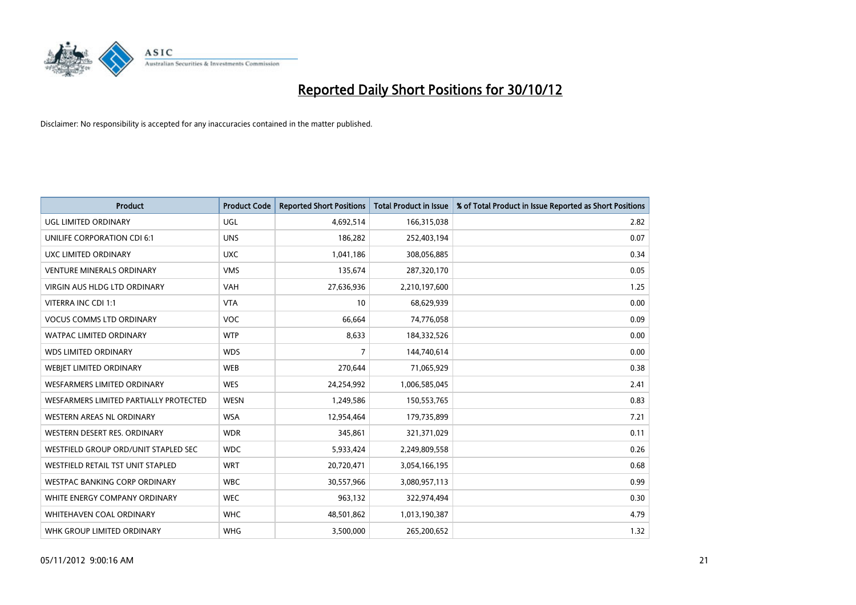

| <b>Product</b>                         | <b>Product Code</b> | <b>Reported Short Positions</b> | <b>Total Product in Issue</b> | % of Total Product in Issue Reported as Short Positions |
|----------------------------------------|---------------------|---------------------------------|-------------------------------|---------------------------------------------------------|
| UGL LIMITED ORDINARY                   | UGL                 | 4,692,514                       | 166,315,038                   | 2.82                                                    |
| UNILIFE CORPORATION CDI 6:1            | <b>UNS</b>          | 186,282                         | 252,403,194                   | 0.07                                                    |
| UXC LIMITED ORDINARY                   | <b>UXC</b>          | 1,041,186                       | 308,056,885                   | 0.34                                                    |
| <b>VENTURE MINERALS ORDINARY</b>       | <b>VMS</b>          | 135,674                         | 287,320,170                   | 0.05                                                    |
| <b>VIRGIN AUS HLDG LTD ORDINARY</b>    | <b>VAH</b>          | 27,636,936                      | 2,210,197,600                 | 1.25                                                    |
| VITERRA INC CDI 1:1                    | <b>VTA</b>          | 10                              | 68,629,939                    | 0.00                                                    |
| <b>VOCUS COMMS LTD ORDINARY</b>        | <b>VOC</b>          | 66,664                          | 74,776,058                    | 0.09                                                    |
| WATPAC LIMITED ORDINARY                | <b>WTP</b>          | 8,633                           | 184,332,526                   | 0.00                                                    |
| <b>WDS LIMITED ORDINARY</b>            | <b>WDS</b>          | 7                               | 144,740,614                   | 0.00                                                    |
| <b>WEBJET LIMITED ORDINARY</b>         | <b>WEB</b>          | 270,644                         | 71,065,929                    | 0.38                                                    |
| WESFARMERS LIMITED ORDINARY            | <b>WES</b>          | 24,254,992                      | 1,006,585,045                 | 2.41                                                    |
| WESFARMERS LIMITED PARTIALLY PROTECTED | <b>WESN</b>         | 1,249,586                       | 150,553,765                   | 0.83                                                    |
| WESTERN AREAS NL ORDINARY              | <b>WSA</b>          | 12,954,464                      | 179,735,899                   | 7.21                                                    |
| WESTERN DESERT RES. ORDINARY           | <b>WDR</b>          | 345,861                         | 321,371,029                   | 0.11                                                    |
| WESTFIELD GROUP ORD/UNIT STAPLED SEC   | <b>WDC</b>          | 5,933,424                       | 2,249,809,558                 | 0.26                                                    |
| WESTFIELD RETAIL TST UNIT STAPLED      | <b>WRT</b>          | 20,720,471                      | 3,054,166,195                 | 0.68                                                    |
| WESTPAC BANKING CORP ORDINARY          | <b>WBC</b>          | 30,557,966                      | 3,080,957,113                 | 0.99                                                    |
| WHITE ENERGY COMPANY ORDINARY          | <b>WEC</b>          | 963,132                         | 322,974,494                   | 0.30                                                    |
| WHITEHAVEN COAL ORDINARY               | <b>WHC</b>          | 48,501,862                      | 1,013,190,387                 | 4.79                                                    |
| WHK GROUP LIMITED ORDINARY             | <b>WHG</b>          | 3,500,000                       | 265,200,652                   | 1.32                                                    |